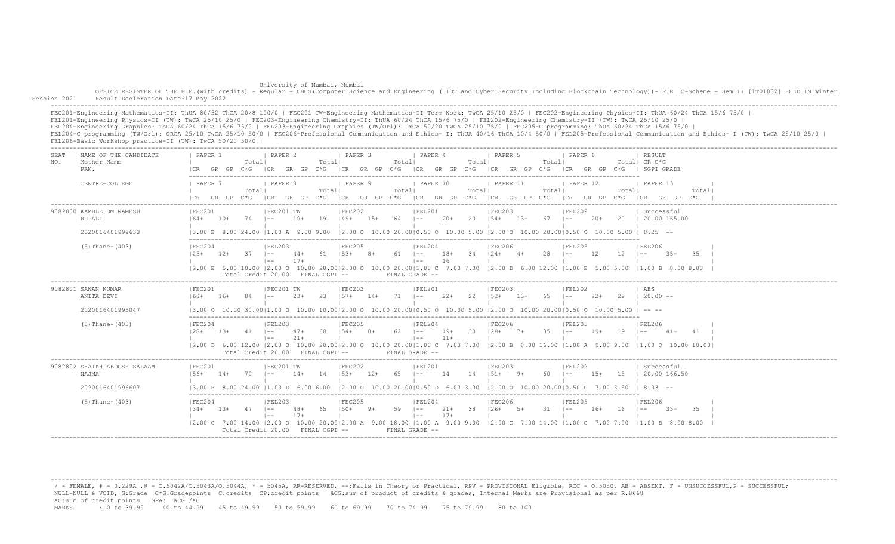## University of Mumbai, Mumbai

OFFICE REGISTER OF THE B.E.(with credits) - Regular - CBCS(Computer Science and Engineering ( IOT and Cyber Security Including Blockchain Technology)) - F.E. C-Scheme - Sem II [1T01832] HELD IN Winter Session 2021 Result Decleration Date:17 May 2022

 ------------------------------------------------------------------------------------------------------------------------------------------------------------------------------------------------------------------- FEC201-Engineering Mathematics-II: ThUA 80/32 ThCA 20/8 100/0 | FEC201 TW-Engineering Mathematics-II Term Work: TwCA 25/10 25/0 | FEC202-Engineering Physics-II: ThUA 60/24 ThCA 15/6 75/0 | FEL201-Engineering Physics-II (TW): TwCA 25/10 25/0 | FEC203-Engineering Chemistry-II: ThUA 60/24 ThCA 15/6 75/0 | FEL202-Engineering Chemistry-II (TW): TwCA 25/10 25/0 | FEC204-Engineering Graphics: ThUA 60/24 ThCA 15/6 75/0 | FEL203-Engineering Graphics (TW/Orl): PrCA 50/20 TwCA 25/10 75/0 | FEC205-C programming: ThUA 60/24 ThCA 15/6 75/0 | FEL204-C programming (TW/Orl): ORCA 25/10 TwCA 25/10 50/0 | FEC206-Professional Communication and Ethics- I: ThUA 40/16 ThCA 10/4 50/0 | FEL205-Professional Communication and Ethics- I (TW): TwCA 25/10 25/0 | FEL206-Basic Workshop practice-II (TW): TwCA 50/20 50/0 |

-------------------------------------------------------------------------------------------------------------------------------------------------------------------------------------------------------------------

| <b>SEA1</b><br>NO. | NAME OF THE CANDIDATE<br>Mother Name<br>PRN.              | PAPER 1<br>ICR                                                                                                                                                 | GR GP  | Totall<br>C*G     | <b>I PAPER 2</b><br>ICR GR GP                                              |                | Totall            | I PAPER 3<br>$C*G$   CR GR GP $C*G$   CR GP $C*G$   CR GP GR GP $C*G$ |       | Totall        | PAPER 4                                        |                | Totall | I PAPER 5                          |       | Totall          | I PAPER 6<br>ICR GR GP C*G |        |                   | RESULT<br>Totall CR C*G<br>  SGPI GRADE                                                                                                                       |              |  |
|--------------------|-----------------------------------------------------------|----------------------------------------------------------------------------------------------------------------------------------------------------------------|--------|-------------------|----------------------------------------------------------------------------|----------------|-------------------|-----------------------------------------------------------------------|-------|---------------|------------------------------------------------|----------------|--------|------------------------------------|-------|-----------------|----------------------------|--------|-------------------|---------------------------------------------------------------------------------------------------------------------------------------------------------------|--------------|--|
|                    | CENTRE-COLLEGE                                            | PAPER 7                                                                                                                                                        | GR GP  | Total <br>$C * G$ | I PAPER 8<br> CR                                                           | GR GP          | Totall<br>$C * G$ | I PAPER 9<br>ICR GR GP C*G ICR GR GP C*G                              |       | Totall        | <b>PAPER 10</b>                                |                | Totall | PAPER 11<br>ICR GR GP              |       | Totall<br>$C*G$ | PAPER 12<br>ICR GR GP      |        | Totall<br>$C * G$ | <b>I PAPER 13</b><br>I CR<br>GR GP                                                                                                                            | Total<br>C*G |  |
|                    | 9082800 KAMBLE OM RAMESH<br>RUPALI<br>2020016401999633    | IFEC201<br>$164+$                                                                                                                                              | $10+$  | $74$ $1--$        | FEC201 TW                                                                  | $19+$          | 19                | FEC202<br>$149+$                                                      | $15+$ | $64$ $ -----$ | FEL201                                         | $20+$          |        | FEC203<br>$20 \t 154+ \t 13+$      |       | $67 - 1 -$      | FEL202                     | $20+$  |                   | Successful<br>20   20.00 165.00<br>$(3.00 B 8.00 24.00 11.00 A 9.00 9.00 12.00 0 10.00 20.0010.50 0 10.00 5.00 12.00 0 10.00 20.0010.50 0 10.00 5.00 18.25 -$ |              |  |
|                    | $(5)$ Thane- $(403)$                                      | IFEC204<br>$125+$                                                                                                                                              | $12+$  | 37                | FEL203<br>$1 - -$<br>$\vert - - \vert$<br>Total Credit 20.00 FINAL CGPI -- | $44+$<br>$17+$ | 61                | FEC205<br>$153+$                                                      | $8+$  | $61 - 1 -$    | FEL204<br>$\vert$ $-$<br>FINAL GRADE --        | $18+$<br>16    |        | <b>IFEC206</b><br>$34$ $124+$ $4+$ |       | 28              | IFEL205<br>$1 - -$         | 12     | $12 - 1 =$        | FEL206<br>$3.5+$<br> 2.00 E 5.00 10.00  2.00 O 10.00 20.00 2.00 O 10.00 20.00 1.00 C 7.00 7.00  2.00 D 6.00 12.00  1.00 E 5.00 5.00  1.00 B 8.00 8.00         | 35           |  |
|                    | 9082801 SAWAN KUMAR<br>ANITA DEVI<br>2020016401995047     | IFEC201<br>$168+$<br>$13.00$ o $10.00$ 30.0011.00 o $10.00$ $10.0012.00$ o $10.00$ 20.0010.50 o $10.00$ 5.00 12.00 o $10.00$ 20.0010.50 o $10.00$ 5.00 l -- -- | $16+$  | 84                | IFEC201 TW<br>$1 - -$                                                      | $2.3+$         | 2.3               | IFEC202<br>$1.57 +$                                                   | $14+$ | $71 - 1 -$    | IFEL201                                        | $2.2 +$        | 2.2    | IFEC203<br>$1.52+$                 | $13+$ | 65              | IFEL202<br>$1 - -$         | $2.2+$ | 22                | I ABS<br>$120.00 - -$                                                                                                                                         |              |  |
|                    | $(5)$ Thane- $(403)$                                      | IFEC204<br>$128+$                                                                                                                                              | $1.3+$ | $41 - 1 -$        | FEL203 <br>$1 - -$<br>Total Credit 20.00 FINAL CGPI --                     | $47+$<br>$21+$ | 68                | FEC205<br>$154+$                                                      | $8+$  | $62 - 1 =$    | FEL204<br>$\vert - - \vert$<br>FINAL GRADE --  | $19+$<br>$11+$ |        | <b>IFEC206</b><br>$30 \t 128 + 7+$ |       | $35 \t - -$     | FEL205                     | $19+$  | $19 - 1 -$        | FEL206<br>$41 +$<br> 2.00 D 6.00 12.00  2.00 O 10.00 20.00 2.00 O 10.00 20.00 1.00 C 7.00 7.00  2.00 B 8.00 16.00  1.00 A 9.00 9.00  1.00 O 10.00 10.00       | 41           |  |
|                    | 9082802 SHAIKH ABDUSH SALAAM<br>NAJMA<br>2020016401996607 | IFEC201<br>$156+$                                                                                                                                              | $14+$  | 70                | IFEC201 TW<br>$1 - -$                                                      | $14+$          | 14                | IFEC202<br>$153+$                                                     | $12+$ | 65            | IFEL201<br>$\vert - - \vert$                   | 14             | 14     | IFEC203<br>$151+$                  | $9+$  | 60              | IFEL202<br>$\vert - -$     | $15+$  | 1.5               | Successful<br>  20.00 166.50<br>$(3.00 B 8.00 24.00 11.00 D 6.00 6.00 12.00 O 10.00 20.0010.50 D 6.00 3.00 12.00 O 10.00 20.0010.50 C 7.00 3.50 18.33 --$     |              |  |
|                    | $(5)$ Thane- $(403)$                                      | IFEC204<br>$134+$<br> 2.00 C 7.00 14.00  2.00 O 10.00 20.00 2.00 A 9.00 18.00  1.00 A 9.00 9.00  2.00 C 7.00 14.00  1.00 C 7.00 7.00                           | $1.3+$ | 47                | IFEL203<br>$1 - -$<br>$1 - -$<br>Total Credit 20.00 FINAL CGPI --          | $48+$<br>$17+$ | 65                | IFEC205<br>$150+$                                                     | $9+$  | $59 - 1 - -$  | IFEL204<br>$\vert - - \vert$<br>FINAL GRADE -- | $21+$<br>$17+$ | 38     | IFEC206<br>$126+$                  | $5+$  | $31 - 1 -$      | IFEL205                    | $16+$  | 16                | FEL206<br>$3.5+$<br>$\vert - -$<br>11.00 B 8.00 8.00                                                                                                          | -35          |  |

/ - FEMALE, # - 0.229A , @ - 0.5042A/O.5043A/O.5044A, \* - 5045A, RR-RESERVED, --:Fails in Theory or Practical, RPV - PROVISIONAL Eligible, RCC - 0.5050, AB - ABSENT, F - UNSUCCESSFUL, P - SUCCESSFUL; NULL-NULL & VOID, G:Grade C\*G:Gradepoints C:credits CP:credit points äCG:sum of product of credits & grades, Internal Marks are Provisional as per R.8668 äC:sum of credit points GPA: äCG /äC MARKS : 0 to 39.99 40 to 44.99 45 to 49.99 50 to 59.99 60 to 69.99 70 to 74.99 75 to 79.99 80 to 100

-------------------------------------------------------------------------------------------------------------------------------------------------------------------------------------------------------------------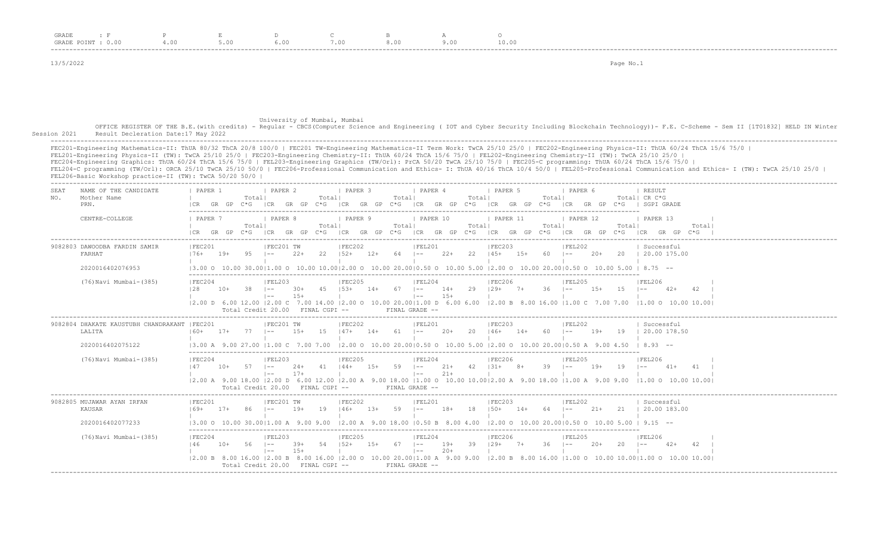| GRADE                           |                                          |      |                           |         |                           |      |                           |  |  |  |  |
|---------------------------------|------------------------------------------|------|---------------------------|---------|---------------------------|------|---------------------------|--|--|--|--|
| GRADE<br>$\cup$ . $\cup$ $\cup$ | $\mathbf{H} \cdot \mathbf{U} \mathbf{U}$ | 5.00 | $\circ \cdot \circ \circ$ | , . v v | $\circ \cdot \circ \circ$ | っ.∪∪ | $\pm$ 0 $\cdot$ 0 $\circ$ |  |  |  |  |
| -----                           |                                          |      |                           |         |                           |      |                           |  |  |  |  |

13/5/2022 Page No.1

## University of Mumbai, Mumbai

OFFICE REGISTER OF THE B.E.(with credits) - Regular - CBCS(Computer Science and Engineering ( IOT and Cyber Security Including Blockchain Technology))- F.E. C-Scheme - Sem II [1T01832] HELD IN Winter<br>Session 2021 Result De Result Decleration Date:17 May 2022

 ------------------------------------------------------------------------------------------------------------------------------------------------------------------------------------------------------------------- FEC201-Engineering Mathematics-II: ThUA 80/32 ThCA 20/8 100/0 | FEC201 TW-Engineering Mathematics-II Term Work: TwCA 25/10 25/0 | FEC202-Engineering Physics-II: ThUA 60/24 ThCA 15/6 75/0 | FEL201-Engineering Physics-II (TW): TwCA 25/10 25/0 | FEC203-Engineering Chemistry-II: ThUA 60/24 ThCA 15/6 75/0 | FEL202-Engineering Chemistry-II (TW): TwCA 25/10 25/0 | FEC204-Engineering Graphics: ThUA 60/24 ThCA 15/6 75/0 | FEL203-Engineering Graphics (TW/Orl): PrCA 50/20 TwCA 25/10 75/0 | FEC205-C programming: ThUA 60/24 ThCA 15/6 75/0 | FEL204-C programming (TW/Orl): ORCA 25/10 TwCA 25/10 50/0 | FEC206-Professional Communication and Ethics- I: ThUA 40/16 ThCA 10/4 50/0 | FEL205-Professional Communication and Ethics- I (TW): TwCA 25/10 25/0 | FEL206-Basic Workshop practice-II (TW): TwCA 50/20 50/0 | -------------------------------------------------------------------------------------------------------------------------------------------------------------------------------------------------------------------

| <b>SEA1</b><br>NO. | NAME OF THE CANDIDATE<br>Mother Name<br>PRN.                                | PAPER 1<br>ICR GR GP |       | Totall<br>C*G     | <b>I PAPER 2</b>                                                               |                 | Totall          | I PAPER 3                                       |       | Totall         | PAPER 4                                       |                 | Totall      | PAPER 5                                   |       | Totall       | I PAPER 6                       |        |                 | <b>I RESULT</b><br>Totall CR C*G<br>ICR GR GP C*G ICR GR GP C*G ICR GR GP C*G ICR GR GP C*G ICR GR GP C*G ISGPIGRADE                                                                                                              |               |  |
|--------------------|-----------------------------------------------------------------------------|----------------------|-------|-------------------|--------------------------------------------------------------------------------|-----------------|-----------------|-------------------------------------------------|-------|----------------|-----------------------------------------------|-----------------|-------------|-------------------------------------------|-------|--------------|---------------------------------|--------|-----------------|-----------------------------------------------------------------------------------------------------------------------------------------------------------------------------------------------------------------------------------|---------------|--|
|                    | CENTRE-COLLEGE                                                              | PAPER 7              | GR GP | Totall<br>$C * G$ | <i>I</i> PAPER 8<br>ICR                                                        | GR GP           | Totall<br>$C*G$ | <b>I PAPER 9</b><br>ICR GR GP C*G ICR GR GP C*G |       | Totall         | PAPER 10                                      |                 | Total       | PAPER 11<br>ICR GR GP C*G ICR GR GP       |       | Totall       | PAPER 12                        |        | Totall<br>$C*G$ | 1 PAPER 13<br>GR GP<br>ICR                                                                                                                                                                                                        | Total <br>C*G |  |
|                    | 9082803 DAWOODBA FARDIN SAMIR<br>FARHAT<br>2020016402076953                 | IFEC201<br>$176+$    | $19+$ | 9.5               | IFEC201 TW<br>$\vert - -$                                                      | $2.2+$          |                 | IFEC202<br>$22 \t152+ \t12+$                    |       |                | FEL201<br>$64$ $1--$ 22+                      |                 |             | IFEC203<br>22   145+   15+                |       | $60 - 1 - -$ | IFEL202                         | $2.0+$ |                 | Successful<br>20   20.00 175.00<br>$(3.00 \t{0} 10.00 \t{0} 30.0011.00 \t{0} 10.00 \t{1} 0.0012.00 \t{0} 10.00 \t{2} 0.0010.50 \t{0} 10.00 \t{5} 0.00 \t{1} 0.00 \t{2} 0.000 \t{2} 0.0010.50 \t{0} 10.00 \t{5} 0.00 \t{1} 8.75 -$ |               |  |
|                    | (76) Navi Mumbai-(385)                                                      | FEC204<br>128        | $10+$ | - 38              | FEL203<br>$\vert - -$<br>$\vert - - \vert$<br>Total Credit 20.00 FINAL CGPI -- | $30+$<br>$15+$  | 45 153+         | FEC205                                          |       |                | FEL204<br>$\vert - - \vert$<br>FINAL GRADE -- | $15+$           |             | FEC206<br>$14+ 67$ $1-- 14+ 29$ $129+ 7+$ |       | $36 - 1 - -$ | IFEL205                         | $1.5+$ | $15 = 1 -$      | IFEL206<br>$42+$<br> 2.00 D 6.00 12.00  2.00 C 7.00 14.00  2.00 O 10.00 20.00 1.00 D 6.00 6.00  2.00 B 8.00 16.00  1.00 C 7.00 7.00  1.00 O 10.00 10.00                                                                           | 42            |  |
|                    | 9082804 DHAKATE KAUSTUBH CHANDRAKANT   FEC201<br>LALITA<br>2020016402075122 | $160+$               | $17+$ | 77                | IFEC201 TW<br>$1 - -$                                                          | $1.5+$          |                 | IFEC202<br>$15 \t147+ \t14+$                    |       | $61$ $ --$     | IFEL201                                       | $20+$           | 20          | IFEC203<br>$146+$                         | $14+$ | 60.          | IFEL202<br>$\sim$ $\sim$ $\sim$ | $19+$  |                 | Successful<br>19   20.00 178.50<br>13.00 A 9.00 27.00 11.00 C 7.00 7.00 12.00 O 10.00 20.0010.50 O 10.00 5.00 12.00 O 10.00 20.0010.50 A 9.00 4.50 I 8.93 --                                                                      |               |  |
|                    | (76) Navi Mumbai-(385)                                                      | IFEC204<br>147       | $10+$ | $57 - 1 -$        | FEL203<br>$\vert - - \vert$<br>Total Credit 20.00 FINAL CGPI --                | $24+$<br>$17+$  | $41$ $144+$     | FEC205                                          |       | $15+ 59$ $1--$ | FEL204<br>$\vert - - \vert$<br>FINAL GRADE -- | $21+$           |             | FEC206 <br>$21+ 42$ $131+ 8+$             |       | $39 - 1 -$   | IFEL205                         | $19+$  | $19 - 1 -$      | IFEL206<br>$41+$<br>12.00 A 9.00 18.00 12.00 D 6.00 12.00 12.00 A 9.00 18.00 11.00 O 10.00 10.0012.00 A 9.00 18.00 11.00 A 9.00 9.00 11.00 O 10.00 10.00 10.00                                                                    | 41            |  |
|                    | 9082805 MUJAWAR AYAN IRFAN<br>KAUSAR<br>2020016402077233                    | IFEC201<br>$169+$    | $17+$ | 86                | IFEC201 TW<br>$1 - -$                                                          | $19+$           | 19              | IFEC202<br>$146+$ 13+                           |       | $59 - 1 -$     | IFEL201                                       | $18+$           | 18          | IFEC203<br>$1.50+$                        | $14+$ | 64 –         | IFEL202                         | $21+$  |                 | Successful<br>21   20.00 183.00<br>$(3.00 \t{0} 10.00 \t{0} 30.0011.00 \t{A} 9.00 \t{9.00} 12.00 \t{A} 9.00 \t{18.00} 10.50 \t{B} 8.00 \t{4.00} 12.00 \t{0} 10.00 \t{20.00} 10.00 \t{50} 0 10.00 \t{5.00} 1 9.15 --$              |               |  |
|                    | (76) Navi Mumbai-(385)                                                      | IFEC204<br>146       | $10+$ | $56 - 1 - -$      | FEL203<br>$\vert - -$<br>Total Credit 20.00 FINAL CGPI --                      | $39+$<br>$1.5+$ | 54 152+         | IFEC205                                         | $15+$ | 67 –           | FEL204<br>$\vert - - \vert$<br>FINAL GRADE -- | $19+$<br>$2.0+$ | $39$ $129+$ | IFEC206                                   | $7+$  | $36 - 1 - -$ | IFEL205                         | $20+$  | 20              | IFEL206<br>$\vert - -$<br>$42+$                                                                                                                                                                                                   | 42            |  |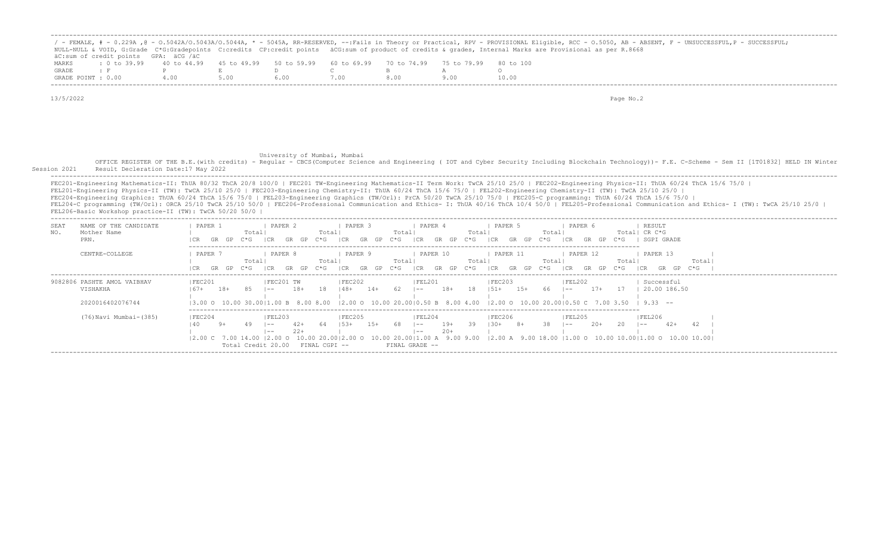| MARKS<br>GRADE | NULL-NULL & VOID, G:Grade C*G:Gradepoints C:credits CP:credit points äCG:sum of product of credits & grades, Internal Marks are Provisional as per R.8668<br>äC:sum of credit points GPA: äCG /äC<br>: 0 to 39.99<br>$\pm$ F<br>GRADE POINT : 0.00                                                                                                                                                                                                             | 40 to 44.99<br>P<br>4.00 | 45 to 49.99<br>E<br>5.00 | 50 to 59.99<br>$\mathbb{D}$<br>6.00                                         | 60 to 69.99<br>$\mathbb{C}$<br>7.00     | 70 to 74.99<br>B<br>8.00                                     | 75 to 79.99<br>$\mathbb{A}$<br>9.00 | 80 to 100<br>$\circ$<br>10.00         |                                                                                                                                                                                                                                                  | / - FEMALE, # - 0.229A , @ - 0.5042A/0.5043A/0.5044A, * - 5045A, RR-RESERVED, --:Fails in Theory or Practical, RPV - PROVISIONAL Eligible, RCC - 0.5050, AB - ABSENT, F - UNSUCCESSFUL,P - SUCCESSFUL,                                                                                                                                                                                                         |
|----------------|----------------------------------------------------------------------------------------------------------------------------------------------------------------------------------------------------------------------------------------------------------------------------------------------------------------------------------------------------------------------------------------------------------------------------------------------------------------|--------------------------|--------------------------|-----------------------------------------------------------------------------|-----------------------------------------|--------------------------------------------------------------|-------------------------------------|---------------------------------------|--------------------------------------------------------------------------------------------------------------------------------------------------------------------------------------------------------------------------------------------------|----------------------------------------------------------------------------------------------------------------------------------------------------------------------------------------------------------------------------------------------------------------------------------------------------------------------------------------------------------------------------------------------------------------|
| 13/5/2022      |                                                                                                                                                                                                                                                                                                                                                                                                                                                                |                          |                          |                                                                             |                                         |                                                              |                                     |                                       | Page No.2                                                                                                                                                                                                                                        |                                                                                                                                                                                                                                                                                                                                                                                                                |
|                |                                                                                                                                                                                                                                                                                                                                                                                                                                                                |                          |                          | University of Mumbai, Mumbai                                                |                                         |                                                              |                                     |                                       |                                                                                                                                                                                                                                                  | OFFICE REGISTER OF THE B.E. (with credits) - Regular - CBCS (Computer Science and Engineering ( IOT and Cyber Security Including Blockchain Technology)) - F.E. C-Scheme - Sem II [1T01832] HELD IN Winter                                                                                                                                                                                                     |
| Session 2021   | Result Decleration Date: 17 May 2022<br>FEL201-Engineering Physics-II (TW): TwCA 25/10 25/0   FEC203-Engineering Chemistry-II: ThUA 60/24 ThCA 15/6 75/0   FEL202-Engineering Chemistry-II (TW): TwCA 25/10 25/0  <br>FEC204-Engineering Graphics: ThUA 60/24 ThCA 15/6 75/0   FEL203-Engineering Graphics (TW/Orl): PrCA 50/20 TwCA 25/10 75/0   FEC205-C programming: ThUA 60/24 ThCA 15/6 75/0  <br>FEL206-Basic Workshop practice-II (TW): TwCA 50/20 50/0 |                          |                          |                                                                             |                                         |                                                              |                                     |                                       |                                                                                                                                                                                                                                                  | FEC201-Engineering Mathematics-II: ThUA 80/32 ThCA 20/8 100/0   FEC201 TW-Engineering Mathematics-II Term Work: TwCA 25/10 25/0   FEC202-Engineering Physics-II: ThUA 60/24 ThCA 15/6 75/0  <br>FEL204-C programming (TW/Orl): ORCA 25/10 TwCA 25/10 50/0   FEC206-Professional Communication and Ethics- I: ThUA 40/16 ThCA 10/4 50/0   FEL205-Professional Communication and Ethics- I (TW): TwCA 25/10 25/0 |
| SEAT<br>NO.    | NAME OF THE CANDIDATE<br>Mother Name<br>PRN.                                                                                                                                                                                                                                                                                                                                                                                                                   | PAPER 1                  | Totall                   | I PAPER 2                                                                   | I PAPER 3<br>Totall                     | 1 PAPER 4<br>Totall                                          | Totall                              | I PAPER 5<br>Totall                   | I PAPER 6<br>GR GP C*G ICR GR GP C*G ICR GR GP C*G ICR GR GP C*G ICR GR GP C*G ICR GR GP C*G I SGPI GRADE                                                                                                                                        | <i>I</i> RESULT<br>Total  CR C*G                                                                                                                                                                                                                                                                                                                                                                               |
|                | CENTRE-COLLEGE                                                                                                                                                                                                                                                                                                                                                                                                                                                 | I PAPER 7                | Total                    | <b>I PAPER 8</b>                                                            | I PAPER 9<br>Total                      | PAPER 10<br>Totall                                           | Totall                              | <b>I PAPER 11</b><br>Total            | 1 PAPER 12                                                                                                                                                                                                                                       | I PAPER 13<br>Totall<br>Total <br>ICR GR GP C*G ICR GR GP C*G ICR GR GP C*G ICR GR GP C*G ICR GR GP C*G ICR GR GP C*G ICR GF C*G ICR GR GP C*G                                                                                                                                                                                                                                                                 |
|                | 9082806 PASHTE AMOL VAIBHAV<br>VISHAKHA<br>2020016402076744                                                                                                                                                                                                                                                                                                                                                                                                    | FEC201<br>$167+$         | 85<br>18+                | FEC201 TW<br>18+<br>$\vert - -$                                             | FEC202<br>18<br>$148 + 14+$             | FEL201<br>$62$ $ --$                                         |                                     | FEC203<br>18+ 18   51+ 15+            | FEL202<br>66 $\left[-\right]$ 17+ 17   20.00 186.50<br>$(3.00 \t{0} 10.00 \t{3} 0.0011.00 \t{B} 8.00 \t{B} 0.00 \t{C} 12.00 \t{O} 10.00 \t{2} 0.0010.50 \t{B} 8.00 \t{4.00} 12.00 \t{O} 10.00 \t{2} 0.0010.50 \t{C} 7.00 \t{3.50} 1 \t{9.33}$ -- | Successful                                                                                                                                                                                                                                                                                                                                                                                                     |
|                | (76) Navi Mumbai-(385)                                                                                                                                                                                                                                                                                                                                                                                                                                         | IFEC204<br>140           | 49<br>$9+$<br>$ -$       | FEL203<br>$42+$<br>$22+$<br>$\vert$ $-$<br>Total Credit 20.00 FINAL CGPI -- | <b>IFEC205</b><br>64<br>$153+$<br>$15+$ | IFEL204<br>$68$ $ --$<br>$\vert - - \vert$<br>FINAL GRADE -- | $19+$<br>$20+$                      | <b>IFEC206</b><br>$39$ $130+$<br>$8+$ | IFEL205<br>$38 - 1 - -$<br>$20+$                                                                                                                                                                                                                 | IFEL206<br>$20 - 1 = -$<br>$42+$<br> 2.00 C 7.00 14.00  2.00 O 10.00 20.00 2.00 O 10.00 20.00 1.00 A 9.00 9.00  2.00 A 9.00 18.00  1.00 O 10.00 10.00 1.00 O 10.00 10.00                                                                                                                                                                                                                                       |

-------------------------------------------------------------------------------------------------------------------------------------------------------------------------------------------------------------------